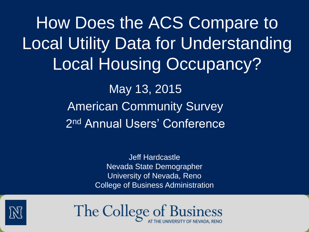How Does the ACS Compare to Local Utility Data for Understanding Local Housing Occupancy? May 13, 2015

> American Community Survey 2<sup>nd</sup> Annual Users' Conference

> > Jeff Hardcastle Nevada State Demographer University of Nevada, Reno College of Business Administration

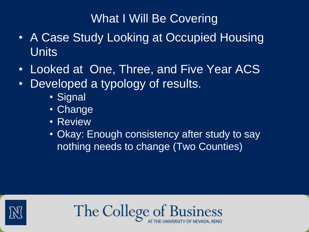## What I Will Be Covering

- A Case Study Looking at Occupied Housing **Units**
- Looked at One, Three, and Five Year ACS
- Developed a typology of results.
	- Signal
	- Change
	- Review
	- Okay: Enough consistency after study to say nothing needs to change (Two Counties)



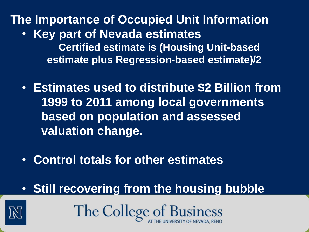# **The Importance of Occupied Unit Information**

- **Key part of Nevada estimates**
	- **Certified estimate is (Housing Unit-based estimate plus Regression-based estimate)/2**
- **Estimates used to distribute \$2 Billion from 1999 to 2011 among local governments based on population and assessed valuation change.**
- **Control totals for other estimates**
- **Still recovering from the housing bubble**

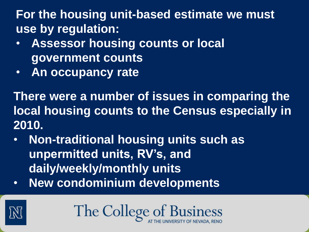**For the housing unit-based estimate we must use by regulation:**

- **Assessor housing counts or local government counts**
- **An occupancy rate**

**There were a number of issues in comparing the local housing counts to the Census especially in 2010.** 

- **Non-traditional housing units such as unpermitted units, RV's, and daily/weekly/monthly units**
- **New condominium developments**

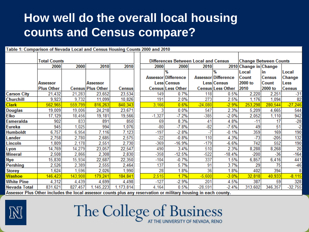## **How well do the overall local housing counts and Census compare?**

| Table 1: Comparison of Nevada Local and Census Housing Counts 2000 and 2010                                     |                     |         |                   |               |  |          |                                             |                              |                          |                       |               |               |
|-----------------------------------------------------------------------------------------------------------------|---------------------|---------|-------------------|---------------|--|----------|---------------------------------------------|------------------------------|--------------------------|-----------------------|---------------|---------------|
|                                                                                                                 |                     |         |                   |               |  |          |                                             |                              |                          |                       |               |               |
|                                                                                                                 | <b>Total Counts</b> |         |                   |               |  |          | <b>Differences Between Local and Census</b> | <b>Change Between Counts</b> |                          |                       |               |               |
|                                                                                                                 | 2000                | 2000    | 2010              | 2010          |  | 2000     | 2000                                        | 2010                         |                          | 2010 Change in Change |               |               |
|                                                                                                                 |                     |         |                   |               |  |          | %                                           |                              | %                        | Local                 | in            | Local         |
|                                                                                                                 |                     |         |                   |               |  |          | <b>Assessor Difference</b>                  |                              | Assessor Difference      | Count                 | <b>Census</b> | Change        |
|                                                                                                                 | <b>Assessor</b>     |         | <b>Assessor</b>   |               |  |          | <b>Less Census</b>                          |                              | Less Census              | 2000 to               | <b>Count</b>  | Less          |
|                                                                                                                 | <b>Plus Other</b>   |         | Census Plus Other | <b>Census</b> |  |          | <b>Census Less Other</b>                    |                              | <b>Census Less Other</b> | 2010                  | 2000 to       | <b>Census</b> |
| <b>Carson City</b>                                                                                              | 21,432              | 21,283  | 23,652            | 23,534        |  | 149      | 0.7%                                        | 118                          | 0.5%                     | 2,220                 | 2,251         | $-31$         |
| <b>Churchill</b>                                                                                                | 9,923               | 9,732   | 11,099            | 10,826        |  | 191      | 2.0%                                        | 273                          | 2.5%                     | 1,176                 | 1,094         | 82            |
| <b>Clark</b>                                                                                                    | 562,965             | 559,799 | 816,263           | 840,343       |  | 3,166    | 0.6%                                        | $-24,080$                    | $-2.9%$                  | 253,298               | 280,544       | $-27,246$     |
| <b>Douglas</b>                                                                                                  | 19,009              | 19,006  | 24,218            | 23,671        |  | 3        | 0.0%                                        | 547                          | 2.3%                     | 5,209                 | 4,665         | 544           |
| <b>Elko</b>                                                                                                     | 17,129              | 18,456  | 19,181            | 19,566        |  | $-1,327$ | $-7.2\%$                                    | $-385$                       | $-2.0%$                  | 2,052                 | 1,110         | 942           |
| Esmeralda                                                                                                       | 902                 | 833     | 891               | 850           |  | 69       | 8.3%                                        | 41                           | 4.8%                     | $-11$                 | 17            | $-28$         |
| Eureka                                                                                                          | 945                 | ,025    | 994               | 1,076         |  | $-80$    | $-7.8%$                                     | $-82$                        | $-7.6%$                  | 49                    | 51            | $-2$          |
| <b>Humboldt</b>                                                                                                 | 6,757               | 6,954   | 7,116             | 7,123         |  | $-197$   | $-2.8%$                                     |                              | $-0.1%$                  | 359                   | 169           | 190           |
| Lander                                                                                                          | 2,758               | 2,780   | 2,685             | 2,575         |  | $-22$    | $-0.8%$                                     | 110                          | 4.3%                     | $-73$                 | $-205$        | 132           |
| Lincoln                                                                                                         | 1,809               | 2,178   | 2,551             | 2,730         |  | $-369$   | -16.9%                                      | $-179$                       | $-6.6%$                  | 742                   | 552           | 190           |
| Lyon                                                                                                            | 14,769              | 14,279  | 23,057            | 22,547        |  | 490      | 3.4%                                        | 510                          | 2.3%                     | 8,288                 | 8,268         | 20            |
| <b>Mineral</b>                                                                                                  | 2,508               | 2,866   | 2,308             | 2,830         |  | $-358$   | $-12.5%$                                    | $-522$                       | $-18.4%$                 | $-200$                | $-36$         | $-164$        |
| <b>Nye</b>                                                                                                      | 15,830              | 15,934  | 22,687            | 22,350        |  | $-104$   | $-0.7%$                                     | 337                          | 1.5%                     | 6,857                 | 6,416         | 441           |
| <b>Pershing</b>                                                                                                 | 2,526               | 2,389   | 2,555             | 2,464         |  | 137      | 5.7%                                        | 91                           | 3.7%                     | 29                    | 75            | $-46$         |
| <b>Storey</b>                                                                                                   | 1,624               | 1,596   | 2,026             | 1,990         |  | 28       | 1.8%                                        | 36                           | 1.8%                     | 402                   | 394           | 8             |
| <b>Washoe</b>                                                                                                   | 146,423             | 143,908 | 179,241           | 184,841       |  | 2,515    | 1.7%                                        | $-5,600$                     | $-3.0%$                  | 32,818                | 40,933        | $-8,115$      |
| <b>White Pine</b>                                                                                               | 4,312               | 4,439   | 4,699             | 4,498         |  | $-127$   | $-2.9%$                                     | 201                          | 4.5%                     | 387                   | 59            | 328           |
| <b>Nevada Total</b>                                                                                             | 831,621             | 827,457 | 1,145,223         | 1,173,814     |  | 4,164    | 0.5%                                        | $-28,591$                    | $-2.4%$                  | 313,602               | 346,357       | $-32,755$     |
| Assessor Plus Other includes the local assessor counts plus any reservation or military housing in each county. |                     |         |                   |               |  |          |                                             |                              |                          |                       |               |               |

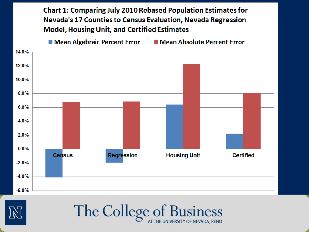**Chart 1: Comparing July 2010 Rebased Population Estimates for** Nevada's 17 Counties to Census Evaluation, Nevada Regression **Model, Housing Unit, and Certified Estimates** 

 $\blacksquare$  Mean Algebraic Percent Error ■ Mean Absolute Percent Error



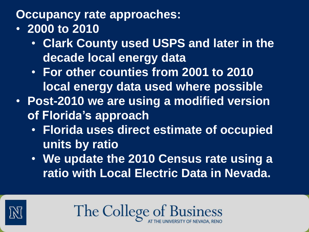**Occupancy rate approaches:**

- **2000 to 2010**
	- **Clark County used USPS and later in the decade local energy data**
	- **For other counties from 2001 to 2010 local energy data used where possible**
- **Post-2010 we are using a modified version of Florida's approach**
	- **Florida uses direct estimate of occupied units by ratio**
	- **We update the 2010 Census rate using a ratio with Local Electric Data in Nevada.**

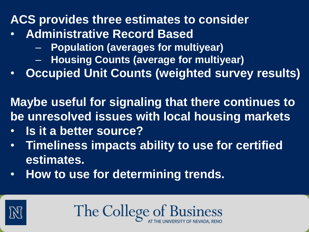## **ACS provides three estimates to consider**

- **Administrative Record Based**
	- **Population (averages for multiyear)**
	- **Housing Counts (average for multiyear)**
- **Occupied Unit Counts (weighted survey results)**

**Maybe useful for signaling that there continues to be unresolved issues with local housing markets**

- **Is it a better source?**
- **Timeliness impacts ability to use for certified estimates.**
- **How to use for determining trends.**

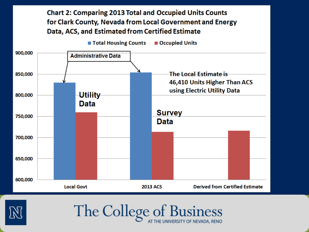



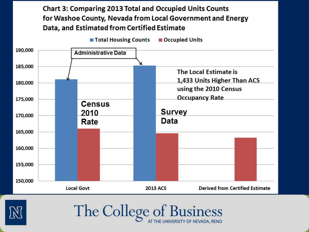#### **Chart 3: Comparing 2013 Total and Occupied Units Counts** for Washoe County, Nevada from Local Government and Energy Data, and Estimated from Certified Estimate



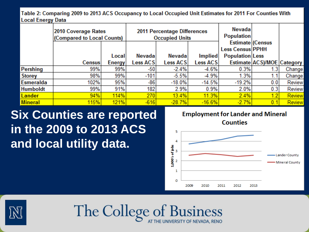Table 2: Comparing 2009 to 2013 ACS Occupancy to Local Occupied Unit Estimates for 2011 For Counties With **Local Energy Data** 

|                 | 2010 Coverage Rates<br>(Compared to Local Counts) |         | 2011 Percentage Differences<br><b>Occupied Units</b> |                 | <b>Nevada</b><br><b>Population</b> |                                                                       |                            |        |
|-----------------|---------------------------------------------------|---------|------------------------------------------------------|-----------------|------------------------------------|-----------------------------------------------------------------------|----------------------------|--------|
|                 |                                                   | Local   | Nevada                                               | Nevada          | Implied                            | Estimate (Census<br><b>Less Census PPHH</b><br><b>Population Less</b> |                            |        |
|                 | Census!                                           | Energy' | Less ACS                                             | <b>Less ACS</b> | Less ACS                           |                                                                       | Estimate ACS)/MOE Category |        |
| Pershing        | 99%                                               | 99%     | -50                                                  | $-2.4%$         | $-4.6%$                            | 0.3%                                                                  | (.3)                       | Change |
| <b>Storey</b>   | 98%                                               | 99%     | $-101$                                               | $-5.5%$         | $-4.9%$                            | 1.3%                                                                  |                            | Change |
| Esmeralda       | 102%                                              | 95%     | $-86$                                                | $-18.0%$        | $-14.5%$                           | $-19.2%$                                                              | 0.0                        | Review |
| <b>Humboldt</b> | 99%                                               | 91%     | 182                                                  | 2.9%            | 0.9%                               | 2.0%                                                                  | 0.3                        | Review |
| <b>Lander</b>   | 94%                                               | 114%    | 270                                                  | 13.4%           | 11.3%                              | 2.4%                                                                  | 1.2                        | Review |
| <b>Mineral</b>  | 115%                                              | 121%    | $-616$                                               | $-28.7%$        | $-16.6%$                           | $-2.7%$                                                               | 0.                         | Review |

**Six Counties are reported in the 2009 to 2013 ACS and local utility data.** 



**Counties** 





The College of Business AT THE UNIVERSITY OF NEVADA, RENO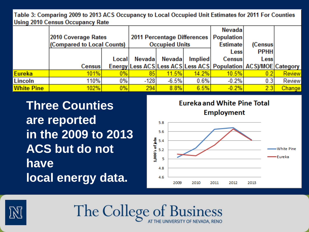Table 3: Comparing 2009 to 2013 ACS Occupancy to Local Occupied Unit Estimates for 2011 For Counties **Using 2010 Census Occupancy Rate** 

|                   |                            |        |               |                       |                                    | <b>Nevada</b>                                                           |              |               |
|-------------------|----------------------------|--------|---------------|-----------------------|------------------------------------|-------------------------------------------------------------------------|--------------|---------------|
|                   | 2010 Coverage Rates        |        |               |                       | <b>2011 Percentage Differences</b> | <b>Population</b>                                                       |              |               |
|                   | (Compared to Local Counts) |        |               | <b>Occupied Units</b> |                                    | <b>Estimate</b>                                                         | (Census)     |               |
|                   |                            |        |               |                       |                                    | <b>Less</b>                                                             | <b>PPHHI</b> |               |
|                   |                            | Locall | <b>Nevada</b> | Nevada                | <i>Implied</i>                     | <b>Census</b>                                                           | <b>Less</b>  |               |
|                   | Census <sup>1</sup>        |        |               |                       |                                    | Energy Less ACS Less ACS Less ACS   Population   ACS   / MOE   Category |              |               |
| <b>Eureka</b>     | 101%                       | 0%     | 85            | 11.5%                 | 14.2%                              | 10.5%                                                                   | 0.2          | <b>Review</b> |
| Lincoln           | 110%                       | $0\%$  | $-128$        | $-6.5%$               | 0.6%                               | $-0.2%$                                                                 | 0.3          | Review        |
| <b>White Pine</b> | 102%                       | 0%     | 294           | 8.8%                  | 6.5%                               | $-0.2%$                                                                 | 2.3          | Change        |

**Three Counties are reported in the 2009 to 2013 ACS but do not have local energy data.**





The College of Business AT THE UNIVERSITY OF NEVADA, RENO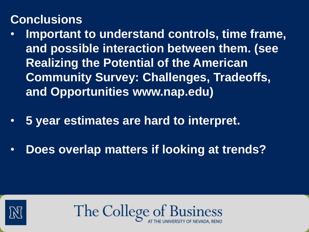## **Conclusions**

- **Important to understand controls, time frame, and possible interaction between them. (see Realizing the Potential of the American Community Survey: Challenges, Tradeoffs, and Opportunities www.nap.edu)**
- **5 year estimates are hard to interpret.**
- **Does overlap matters if looking at trends?**

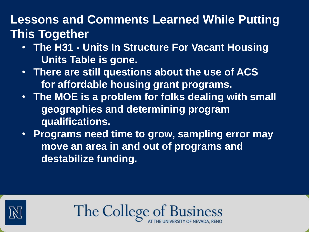## **Lessons and Comments Learned While Putting This Together**

- **The H31 - Units In Structure For Vacant Housing Units Table is gone.**
- **There are still questions about the use of ACS for affordable housing grant programs.**
- **The MOE is a problem for folks dealing with small geographies and determining program qualifications.**
- **Programs need time to grow, sampling error may move an area in and out of programs and destabilize funding.**

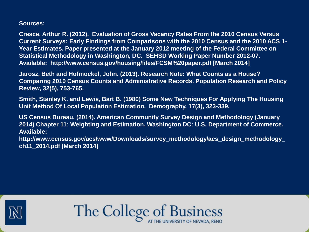**Sources:**

**Cresce, Arthur R. (2012). Evaluation of Gross Vacancy Rates From the 2010 Census Versus Current Surveys: Early Findings from Comparisons with the 2010 Census and the 2010 ACS 1- Year Estimates. Paper presented at the January 2012 meeting of the Federal Committee on Statistical Methodology in Washington, DC. SEHSD Working Paper Number 2012-07. Available: http://www.census.gov/housing/files/FCSM%20paper.pdf [March 2014]**

**Jarosz, Beth and Hofmockel, John. (2013). Research Note: What Counts as a House? Comparing 2010 Census Counts and Administrative Records. Population Research and Policy Review, 32(5), 753-765.**

**Smith, Stanley K. and Lewis, Bart B. (1980) Some New Techniques For Applying The Housing Unit Method Of Local Population Estimation. Demography, 17(3), 323-339.** 

**US Census Bureau. (2014). American Community Survey Design and Methodology (January 2014) Chapter 11: Weighting and Estimation. Washington DC: U.S. Department of Commerce. Available:** 

**http://www.census.gov/acs/www/Downloads/survey\_methodology/acs\_design\_methodology\_ ch11\_2014.pdf [March 2014]**